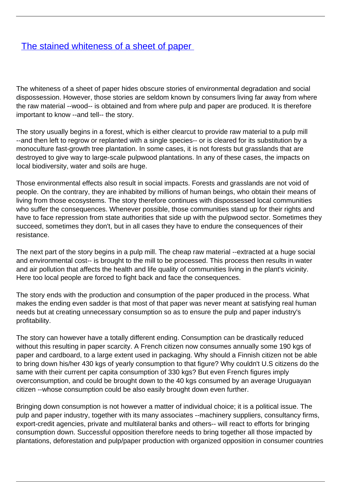## [The stained whiteness of a sheet of paper](/bulletin-articles/the-stained-whiteness-of-a-sheet-of-paper)

The whiteness of a sheet of paper hides obscure stories of environmental degradation and social dispossession. However, those stories are seldom known by consumers living far away from where the raw material --wood-- is obtained and from where pulp and paper are produced. It is therefore important to know --and tell-- the story.

The story usually begins in a forest, which is either clearcut to provide raw material to a pulp mill --and then left to regrow or replanted with a single species-- or is cleared for its substitution by a monoculture fast-growth tree plantation. In some cases, it is not forests but grasslands that are destroyed to give way to large-scale pulpwood plantations. In any of these cases, the impacts on local biodiversity, water and soils are huge.

Those environmental effects also result in social impacts. Forests and grasslands are not void of people. On the contrary, they are inhabited by millions of human beings, who obtain their means of living from those ecosystems. The story therefore continues with dispossessed local communities who suffer the consequences. Whenever possible, those communities stand up for their rights and have to face repression from state authorities that side up with the pulpwood sector. Sometimes they succeed, sometimes they don't, but in all cases they have to endure the consequences of their resistance.

The next part of the story begins in a pulp mill. The cheap raw material --extracted at a huge social and environmental cost-- is brought to the mill to be processed. This process then results in water and air pollution that affects the health and life quality of communities living in the plant's vicinity. Here too local people are forced to fight back and face the consequences.

The story ends with the production and consumption of the paper produced in the process. What makes the ending even sadder is that most of that paper was never meant at satisfying real human needs but at creating unnecessary consumption so as to ensure the pulp and paper industry's profitability.

The story can however have a totally different ending. Consumption can be drastically reduced without this resulting in paper scarcity. A French citizen now consumes annually some 190 kgs of paper and cardboard, to a large extent used in packaging. Why should a Finnish citizen not be able to bring down his/her 430 kgs of yearly consumption to that figure? Why couldn't U.S citizens do the same with their current per capita consumption of 330 kgs? But even French figures imply overconsumption, and could be brought down to the 40 kgs consumed by an average Uruguayan citizen --whose consumption could be also easily brought down even further.

Bringing down consumption is not however a matter of individual choice; it is a political issue. The pulp and paper industry, together with its many associates --machinery suppliers, consultancy firms, export-credit agencies, private and multilateral banks and others-- will react to efforts for bringing consumption down. Successful opposition therefore needs to bring together all those impacted by plantations, deforestation and pulp/paper production with organized opposition in consumer countries